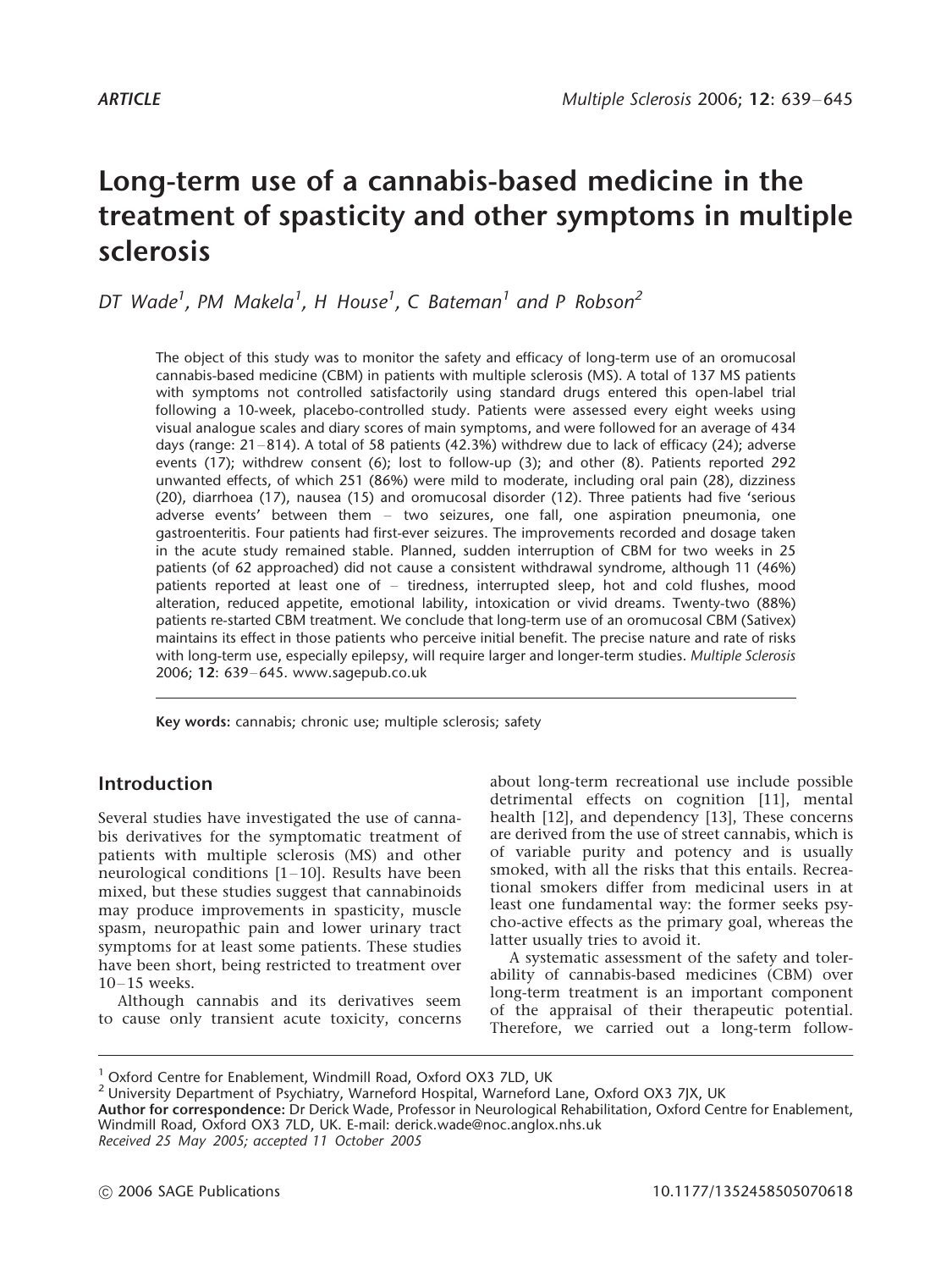# Long-term use of a cannabis-based medicine in the treatment of spasticity and other symptoms in multiple sclerosis

DT Wade<sup>1</sup>, PM Makela<sup>1</sup>, H House<sup>1</sup>, C Bateman<sup>1</sup> and P Robson<sup>2</sup>

The object of this study was to monitor the safety and efficacy of long-term use of an oromucosal cannabis-based medicine (CBM) in patients with multiple sclerosis (MS). A total of 137 MS patients with symptoms not controlled satisfactorily using standard drugs entered this open-label trial following a 10-week, placebo-controlled study. Patients were assessed every eight weeks using visual analogue scales and diary scores of main symptoms, and were followed for an average of 434 days (range:  $21-814$ ). A total of 58 patients (42.3%) withdrew due to lack of efficacy (24); adverse events (17); withdrew consent (6); lost to follow-up (3); and other (8). Patients reported 292 unwanted effects, of which 251 (86%) were mild to moderate, including oral pain (28), dizziness (20), diarrhoea (17), nausea (15) and oromucosal disorder (12). Three patients had five 'serious adverse events' between them  $-$  two seizures, one fall, one aspiration pneumonia, one gastroenteritis. Four patients had first-ever seizures. The improvements recorded and dosage taken in the acute study remained stable. Planned, sudden interruption of CBM for two weeks in 25 patients (of 62 approached) did not cause a consistent withdrawal syndrome, although 11 (46%) patients reported at least one of - tiredness, interrupted sleep, hot and cold flushes, mood alteration, reduced appetite, emotional lability, intoxication or vivid dreams. Twenty-two (88%) patients re-started CBM treatment. We conclude that long-term use of an oromucosal CBM (Sativex) maintains its effect in those patients who perceive initial benefit. The precise nature and rate of risks with long-term use, especially epilepsy, will require larger and longer-term studies. Multiple Sclerosis 2006: 12: 639-645. www.sagepub.co.uk

Key words: cannabis; chronic use; multiple sclerosis; safety

# Introduction

Several studies have investigated the use of cannabis derivatives for the symptomatic treatment of patients with multiple sclerosis (MS) and other neurological conditions  $[1-10]$ . Results have been mixed, but these studies suggest that cannabinoids may produce improvements in spasticity, muscle spasm, neuropathic pain and lower urinary tract symptoms for at least some patients. These studies have been short, being restricted to treatment over  $10-15$  weeks.

Although cannabis and its derivatives seem to cause only transient acute toxicity, concerns about long-term recreational use include possible detrimental effects on cognition [11], mental health [12], and dependency [13], These concerns are derived from the use of street cannabis, which is of variable purity and potency and is usually smoked, with all the risks that this entails. Recreational smokers differ from medicinal users in at least one fundamental way: the former seeks psycho-active effects as the primary goal, whereas the latter usually tries to avoid it.

A systematic assessment of the safety and tolerability of cannabis-based medicines (CBM) over long-term treatment is an important component of the appraisal of their therapeutic potential. Therefore, we carried out a long-term follow-

Received 25 May 2005; accepted 11 October 2005

<sup>&</sup>lt;sup>1</sup> Oxford Centre for Enablement, Windmill Road, Oxford OX3 7LD, UK  $^2$  University Department of Psychiatry, Warneford Hospital, Warneford Lane, Oxford OX3 7JX, UK

Author for correspondence: Dr Derick Wade, Professor in Neurological Rehabilitation, Oxford Centre for Enablement, Windmill Road, Oxford OX3 7LD, UK. E-mail: derick.wade@noc.anglox.nhs.uk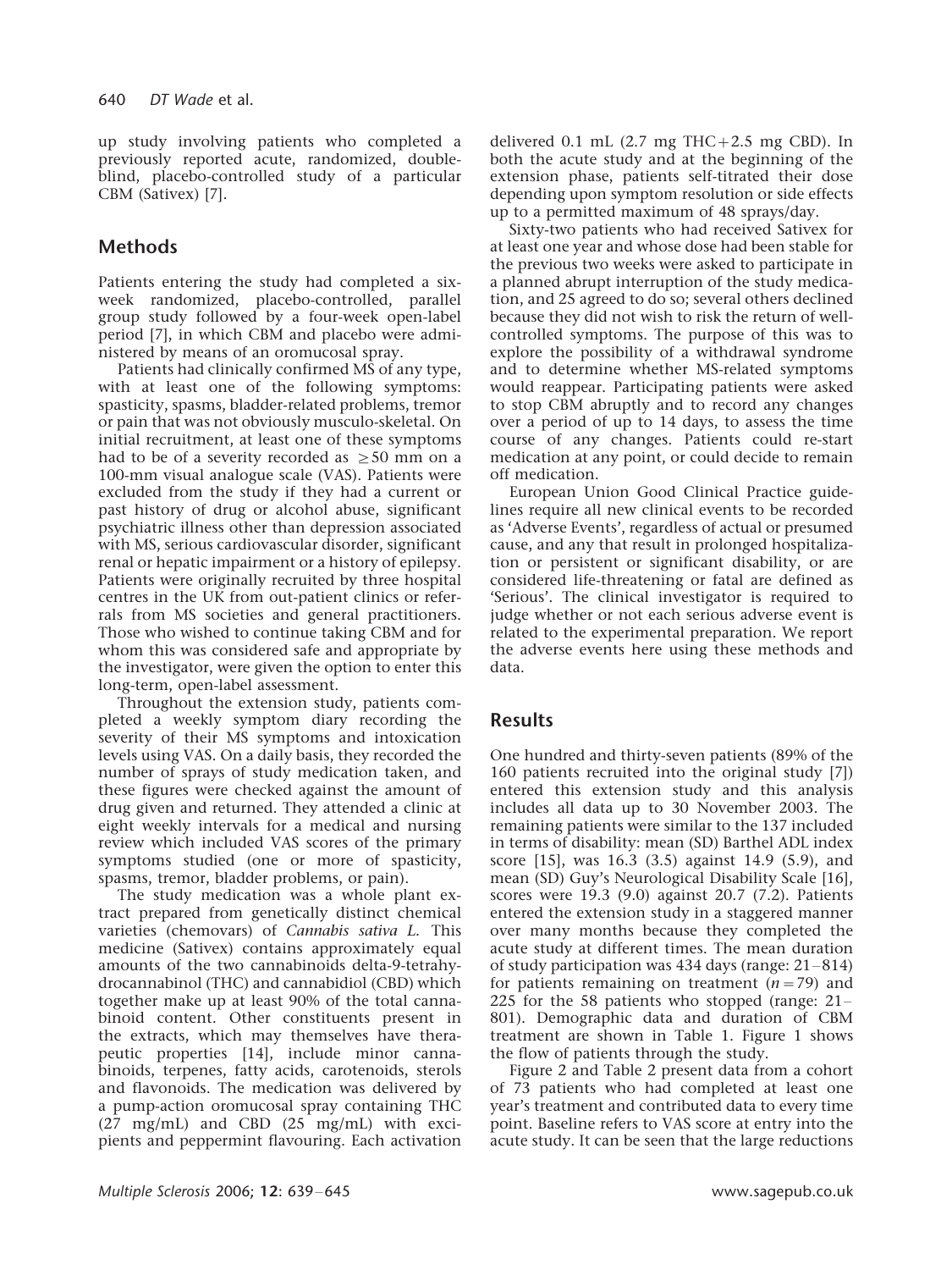up study involving patients who completed a previously reported acute, randomized, doubleblind, placebo-controlled study of a particular CBM (Sativex) [7].

# Methods

Patients entering the study had completed a sixweek randomized, placebo-controlled, parallel group study followed by a four-week open-label period [7], in which CBM and placebo were administered by means of an oromucosal spray.

Patients had clinically confirmed MS of any type, with at least one of the following symptoms: spasticity, spasms, bladder-related problems, tremor or pain that was not obviously musculo-skeletal. On initial recruitment, at least one of these symptoms had to be of a severity recorded as  $\geq$  50 mm on a 100-mm visual analogue scale (VAS). Patients were excluded from the study if they had a current or past history of drug or alcohol abuse, significant psychiatric illness other than depression associated with MS, serious cardiovascular disorder, significant renal or hepatic impairment or a history of epilepsy. Patients were originally recruited by three hospital centres in the UK from out-patient clinics or referrals from MS societies and general practitioners. Those who wished to continue taking CBM and for whom this was considered safe and appropriate by the investigator, were given the option to enter this long-term, open-label assessment.

Throughout the extension study, patients completed a weekly symptom diary recording the severity of their MS symptoms and intoxication levels using VAS. On a daily basis, they recorded the number of sprays of study medication taken, and these figures were checked against the amount of drug given and returned. They attended a clinic at eight weekly intervals for a medical and nursing review which included VAS scores of the primary symptoms studied (one or more of spasticity, spasms, tremor, bladder problems, or pain).

The study medication was a whole plant extract prepared from genetically distinct chemical varieties (chemovars) of Cannabis sativa L. This medicine (Sativex) contains approximately equal amounts of the two cannabinoids delta-9-tetrahydrocannabinol (THC) and cannabidiol (CBD) which together make up at least 90% of the total cannabinoid content. Other constituents present in the extracts, which may themselves have therapeutic properties [14], include minor cannabinoids, terpenes, fatty acids, carotenoids, sterols and flavonoids. The medication was delivered by a pump-action oromucosal spray containing THC (27 mg/mL) and CBD (25 mg/mL) with excipients and peppermint flavouring. Each activation

delivered  $0.1$  mL  $(2.7 \text{ mg} \text{THC} + 2.5 \text{ mg} \text{ CBD})$ . In both the acute study and at the beginning of the extension phase, patients self-titrated their dose depending upon symptom resolution or side effects up to a permitted maximum of 48 sprays/day.

Sixty-two patients who had received Sativex for at least one year and whose dose had been stable for the previous two weeks were asked to participate in a planned abrupt interruption of the study medication, and 25 agreed to do so; several others declined because they did not wish to risk the return of wellcontrolled symptoms. The purpose of this was to explore the possibility of a withdrawal syndrome and to determine whether MS-related symptoms would reappear. Participating patients were asked to stop CBM abruptly and to record any changes over a period of up to 14 days, to assess the time course of any changes. Patients could re-start medication at any point, or could decide to remain off medication.

European Union Good Clinical Practice guidelines require all new clinical events to be recorded as 'Adverse Events', regardless of actual or presumed cause, and any that result in prolonged hospitalization or persistent or significant disability, or are considered life-threatening or fatal are defined as 'Serious'. The clinical investigator is required to judge whether or not each serious adverse event is related to the experimental preparation. We report the adverse events here using these methods and data.

## Results

One hundred and thirty-seven patients (89% of the 160 patients recruited into the original study [7]) entered this extension study and this analysis includes all data up to 30 November 2003. The remaining patients were similar to the 137 included in terms of disability: mean (SD) Barthel ADL index score [15], was 16.3 (3.5) against 14.9 (5.9), and mean (SD) Guy's Neurological Disability Scale [16], scores were 19.3 (9.0) against 20.7 (7.2). Patients entered the extension study in a staggered manner over many months because they completed the acute study at different times. The mean duration of study participation was  $434$  days (range:  $21-814$ ) for patients remaining on treatment  $(n=79)$  and 225 for the 58 patients who stopped (range:  $21-$ 801). Demographic data and duration of CBM treatment are shown in Table 1. Figure 1 shows the flow of patients through the study.

Figure 2 and Table 2 present data from a cohort of 73 patients who had completed at least one year's treatment and contributed data to every time point. Baseline refers to VAS score at entry into the acute study. It can be seen that the large reductions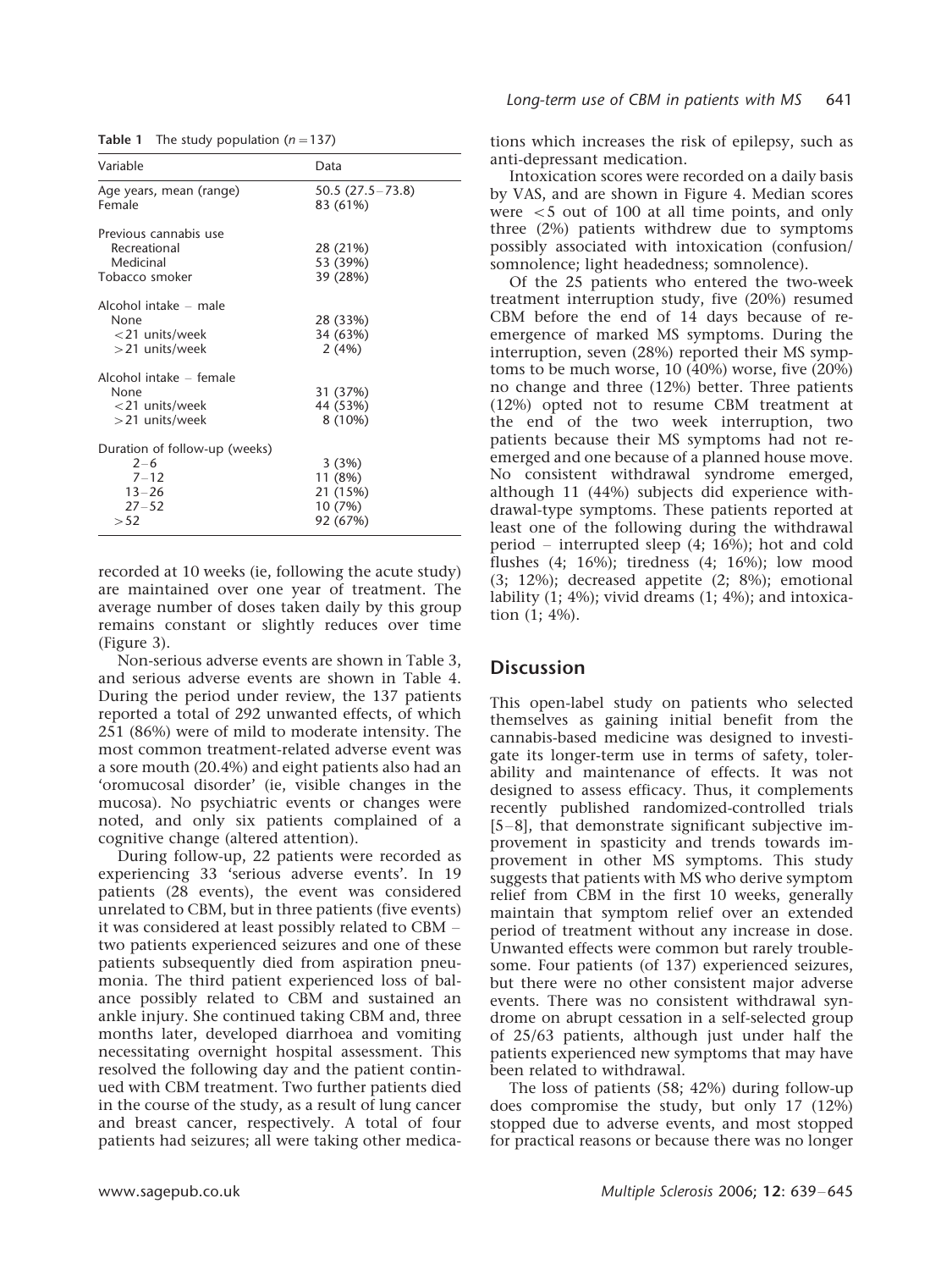| Variable                                                                               | Data                                                |
|----------------------------------------------------------------------------------------|-----------------------------------------------------|
| Age years, mean (range)<br>Female                                                      | $50.5(27.5 - 73.8)$<br>83 (61%)                     |
| Previous cannabis use<br>Recreational<br>Medicinal<br>Tobacco smoker                   | 28 (21%)<br>53 (39%)<br>39 (28%)                    |
| Alcohol intake – male<br>None<br>$<$ 21 units/week<br>$>$ 21 units/week                | 28 (33%)<br>34 (63%)<br>2(4%)                       |
| Alcohol intake – female<br>None<br>$<$ 21 units/week<br>>21 units/week                 | 31 (37%)<br>44 (53%)<br>8 (10%)                     |
| Duration of follow-up (weeks)<br>$2 - 6$<br>$7 - 12$<br>$13 - 26$<br>$27 - 52$<br>> 52 | 3(3%)<br>11 (8%)<br>21 (15%)<br>10 (7%)<br>92 (67%) |

Table 1 The study population ( $n=137$ )

recorded at 10 weeks (ie, following the acute study) are maintained over one year of treatment. The average number of doses taken daily by this group remains constant or slightly reduces over time (Figure 3).

Non-serious adverse events are shown in Table 3, and serious adverse events are shown in Table 4. During the period under review, the 137 patients reported a total of 292 unwanted effects, of which 251 (86%) were of mild to moderate intensity. The most common treatment-related adverse event was a sore mouth (20.4%) and eight patients also had an 'oromucosal disorder' (ie, visible changes in the mucosa). No psychiatric events or changes were noted, and only six patients complained of a cognitive change (altered attention).

During follow-up, 22 patients were recorded as experiencing 33 'serious adverse events'. In 19 patients (28 events), the event was considered unrelated to CBM, but in three patients (five events) it was considered at least possibly related to CBM two patients experienced seizures and one of these patients subsequently died from aspiration pneumonia. The third patient experienced loss of balance possibly related to CBM and sustained an ankle injury. She continued taking CBM and, three months later, developed diarrhoea and vomiting necessitating overnight hospital assessment. This resolved the following day and the patient continued with CBM treatment. Two further patients died in the course of the study, as a result of lung cancer and breast cancer, respectively. A total of four patients had seizures; all were taking other medica-

tions which increases the risk of epilepsy, such as anti-depressant medication.

Intoxication scores were recorded on a daily basis by VAS, and are shown in Figure 4. Median scores were  $\lt$  5 out of 100 at all time points, and only three (2%) patients withdrew due to symptoms possibly associated with intoxication (confusion/ somnolence; light headedness; somnolence).

Of the 25 patients who entered the two-week treatment interruption study, five (20%) resumed CBM before the end of 14 days because of reemergence of marked MS symptoms. During the interruption, seven (28%) reported their MS symptoms to be much worse,  $10$  ( $40\%$ ) worse, five ( $20\%$ ) no change and three (12%) better. Three patients (12%) opted not to resume CBM treatment at the end of the two week interruption, two patients because their MS symptoms had not reemerged and one because of a planned house move. No consistent withdrawal syndrome emerged, although 11 (44%) subjects did experience withdrawal-type symptoms. These patients reported at least one of the following during the withdrawal period – interrupted sleep  $(4; 16\%)$ ; hot and cold flushes (4; 16%); tiredness (4; 16%); low mood (3; 12%); decreased appetite (2; 8%); emotional lability (1; 4%); vivid dreams (1; 4%); and intoxication (1; 4%).

### **Discussion**

This open-label study on patients who selected themselves as gaining initial benefit from the cannabis-based medicine was designed to investigate its longer-term use in terms of safety, tolerability and maintenance of effects. It was not designed to assess efficacy. Thus, it complements recently published randomized-controlled trials  $[5-8]$ , that demonstrate significant subjective improvement in spasticity and trends towards improvement in other MS symptoms. This study suggests that patients with MS who derive symptom relief from CBM in the first 10 weeks, generally maintain that symptom relief over an extended period of treatment without any increase in dose. Unwanted effects were common but rarely troublesome. Four patients (of 137) experienced seizures, but there were no other consistent major adverse events. There was no consistent withdrawal syndrome on abrupt cessation in a self-selected group of 25/63 patients, although just under half the patients experienced new symptoms that may have been related to withdrawal.

The loss of patients (58; 42%) during follow-up does compromise the study, but only 17 (12%) stopped due to adverse events, and most stopped for practical reasons or because there was no longer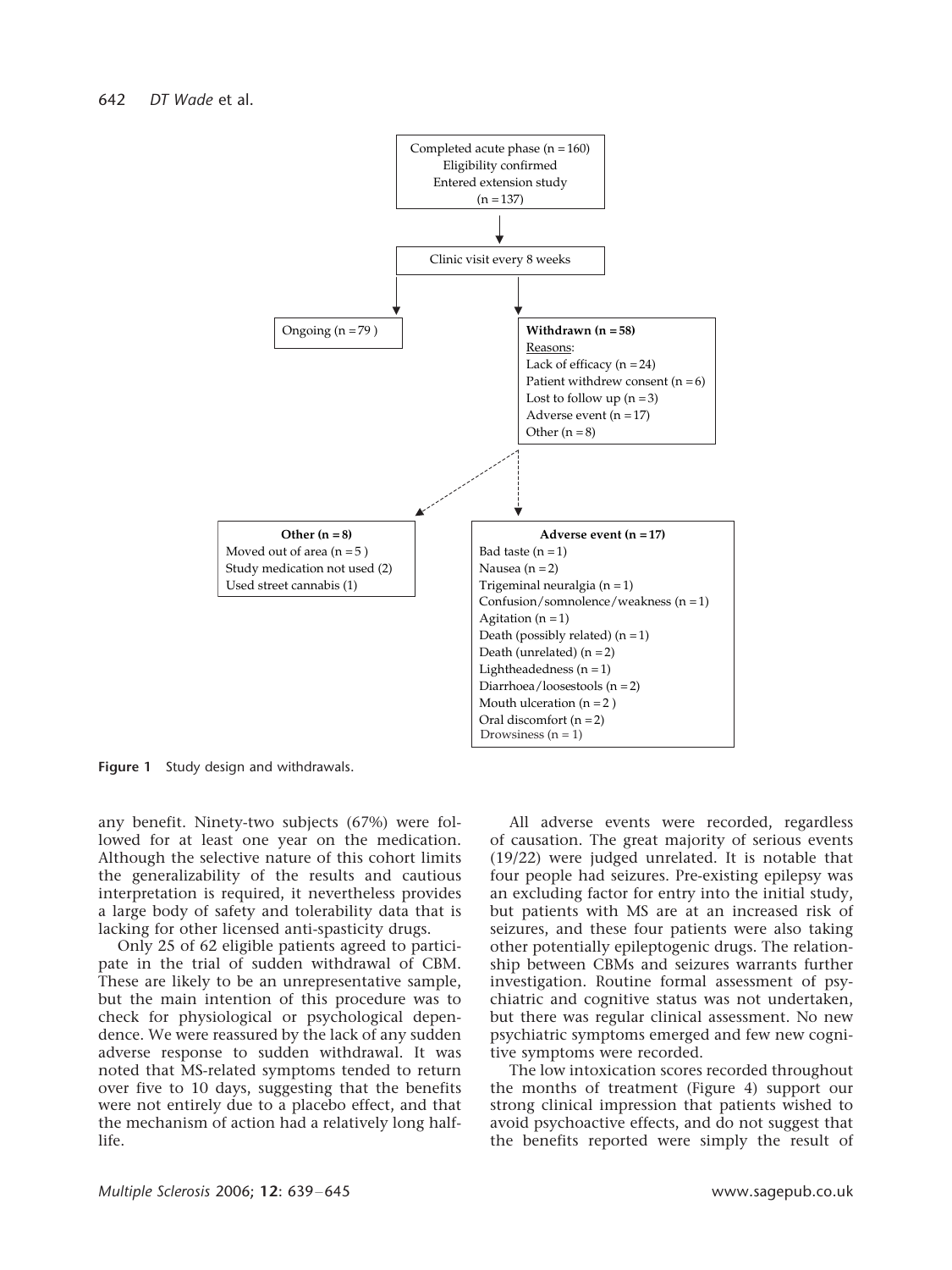

Figure 1 Study design and withdrawals.

any benefit. Ninety-two subjects (67%) were followed for at least one year on the medication. Although the selective nature of this cohort limits the generalizability of the results and cautious interpretation is required, it nevertheless provides a large body of safety and tolerability data that is lacking for other licensed anti-spasticity drugs.

Only 25 of 62 eligible patients agreed to participate in the trial of sudden withdrawal of CBM. These are likely to be an unrepresentative sample, but the main intention of this procedure was to check for physiological or psychological dependence. We were reassured by the lack of any sudden adverse response to sudden withdrawal. It was noted that MS-related symptoms tended to return over five to 10 days, suggesting that the benefits were not entirely due to a placebo effect, and that the mechanism of action had a relatively long halflife.

All adverse events were recorded, regardless of causation. The great majority of serious events (19/22) were judged unrelated. It is notable that four people had seizures. Pre-existing epilepsy was an excluding factor for entry into the initial study, but patients with MS are at an increased risk of seizures, and these four patients were also taking other potentially epileptogenic drugs. The relationship between CBMs and seizures warrants further investigation. Routine formal assessment of psychiatric and cognitive status was not undertaken, but there was regular clinical assessment. No new psychiatric symptoms emerged and few new cognitive symptoms were recorded.

The low intoxication scores recorded throughout the months of treatment (Figure 4) support our strong clinical impression that patients wished to avoid psychoactive effects, and do not suggest that the benefits reported were simply the result of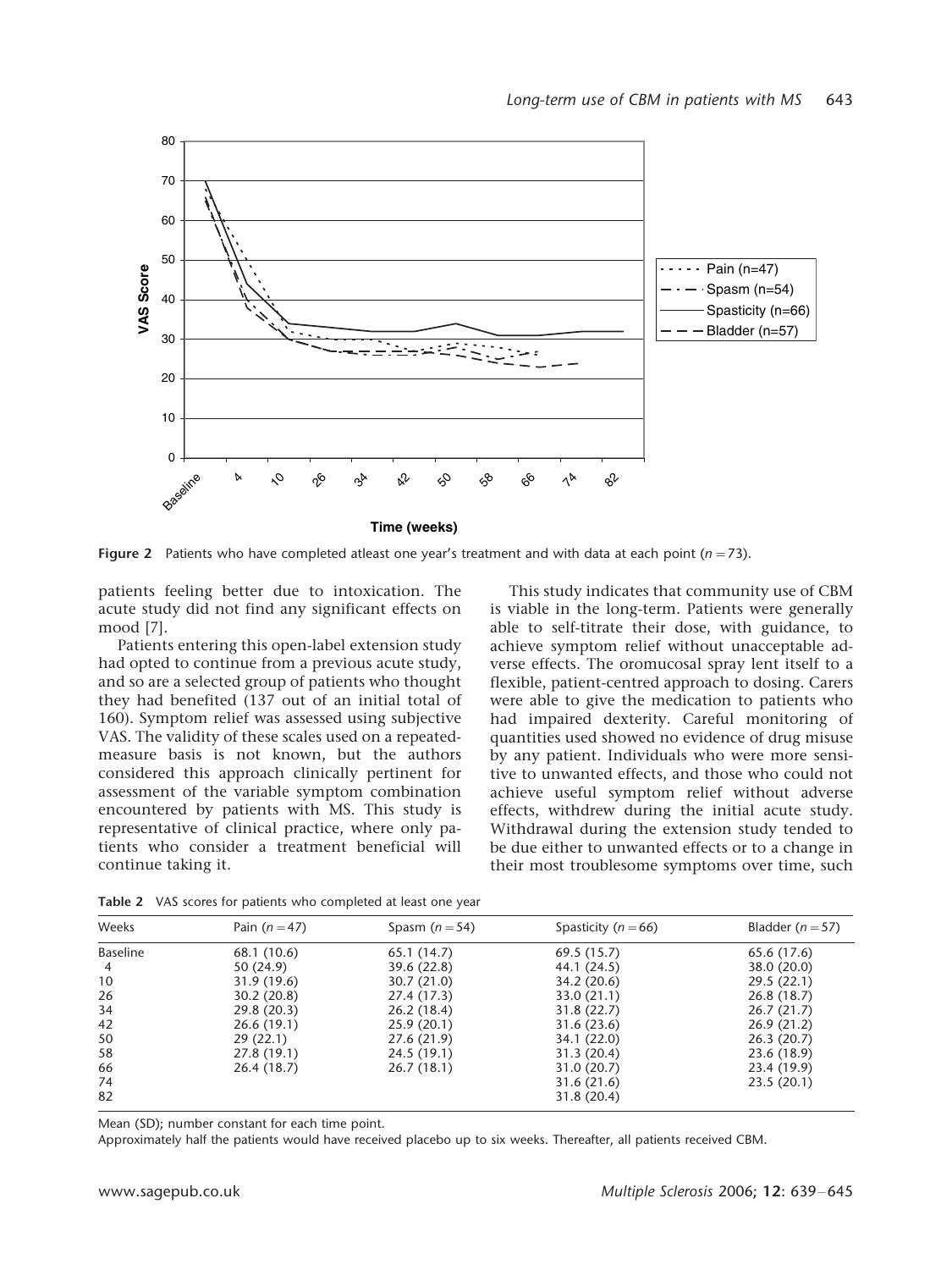

Figure 2 Patients who have completed atleast one year's treatment and with data at each point ( $n=73$ ).

patients feeling better due to intoxication. The acute study did not find any significant effects on mood [7].

Patients entering this open-label extension study had opted to continue from a previous acute study, and so are a selected group of patients who thought they had benefited (137 out of an initial total of 160). Symptom relief was assessed using subjective VAS. The validity of these scales used on a repeatedmeasure basis is not known, but the authors considered this approach clinically pertinent for assessment of the variable symptom combination encountered by patients with MS. This study is representative of clinical practice, where only patients who consider a treatment beneficial will continue taking it.

This study indicates that community use of CBM is viable in the long-term. Patients were generally able to self-titrate their dose, with guidance, to achieve symptom relief without unacceptable adverse effects. The oromucosal spray lent itself to a flexible, patient-centred approach to dosing. Carers were able to give the medication to patients who had impaired dexterity. Careful monitoring of quantities used showed no evidence of drug misuse by any patient. Individuals who were more sensitive to unwanted effects, and those who could not achieve useful symptom relief without adverse effects, withdrew during the initial acute study. Withdrawal during the extension study tended to be due either to unwanted effects or to a change in their most troublesome symptoms over time, such

| Weeks           | Pain $(n=47)$ | Spasm $(n=54)$ | Spasticity ( $n = 66$ ) | Bladder $(n=57)$ |
|-----------------|---------------|----------------|-------------------------|------------------|
| <b>Baseline</b> | 68.1 (10.6)   | 65.1(14.7)     | 69.5(15.7)              | 65.6 (17.6)      |
| 4               | 50 (24.9)     | 39.6 (22.8)    | 44.1 (24.5)             | 38.0 (20.0)      |
| 10              | 31.9(19.6)    | 30.7(21.0)     | 34.2 (20.6)             | 29.5 (22.1)      |
| 26              | 30.2(20.8)    | 27.4 (17.3)    | 33.0(21.1)              | 26.8(18.7)       |
| 34              | 29.8 (20.3)   | 26.2(18.4)     | 31.8(22.7)              | 26.7(21.7)       |
| 42              | 26.6(19.1)    | 25.9(20.1)     | 31.6(23.6)              | 26.9(21.2)       |
| 50              | 29(22.1)      | 27.6 (21.9)    | 34.1 (22.0)             | 26.3(20.7)       |
| 58              | 27.8 (19.1)   | 24.5 (19.1)    | 31.3(20.4)              | 23.6 (18.9)      |
| 66              | 26.4(18.7)    | 26.7(18.1)     | 31.0(20.7)              | 23.4 (19.9)      |
| 74              |               |                | 31.6(21.6)              | 23.5(20.1)       |
| 82              |               |                | 31.8(20.4)              |                  |

Table 2 VAS scores for patients who completed at least one year

Mean (SD); number constant for each time point.

Approximately half the patients would have received placebo up to six weeks. Thereafter, all patients received CBM.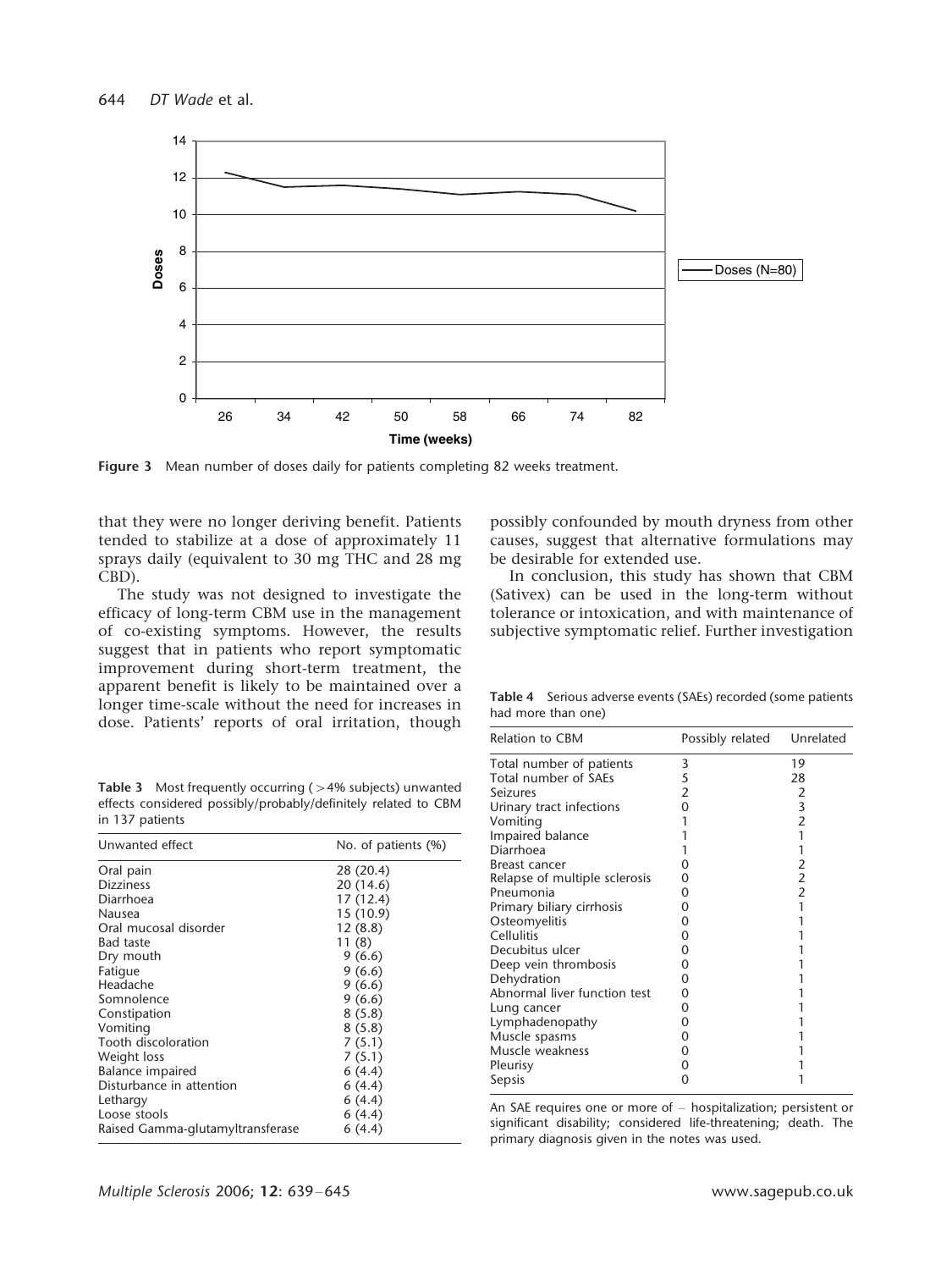

Figure 3 Mean number of doses daily for patients completing 82 weeks treatment.

that they were no longer deriving benefit. Patients tended to stabilize at a dose of approximately 11 sprays daily (equivalent to 30 mg THC and 28 mg CBD).

The study was not designed to investigate the efficacy of long-term CBM use in the management of co-existing symptoms. However, the results suggest that in patients who report symptomatic improvement during short-term treatment, the apparent benefit is likely to be maintained over a longer time-scale without the need for increases in dose. Patients' reports of oral irritation, though

possibly confounded by mouth dryness from other causes, suggest that alternative formulations may be desirable for extended use.

In conclusion, this study has shown that CBM (Sativex) can be used in the long-term without tolerance or intoxication, and with maintenance of subjective symptomatic relief. Further investigation

Table 4 Serious adverse events (SAEs) recorded (some patients had more than one)

| Relation to CBM               | Possibly related | Unrelated      |
|-------------------------------|------------------|----------------|
| Total number of patients      | 3                | 19             |
| Total number of SAEs          | 5                | 28             |
| Seizures                      | $\overline{2}$   | 2              |
| Urinary tract infections      | 0                | 3              |
| Vomiting                      |                  | 2              |
| Impaired balance              |                  | 1              |
| Diarrhoea                     |                  |                |
| Breast cancer                 | O                | 2              |
| Relapse of multiple sclerosis | O                | $\mathfrak{p}$ |
| Pneumonia                     | O                | $\overline{2}$ |
| Primary biliary cirrhosis     | 0                | 1              |
| Osteomyelitis                 | O                |                |
| Cellulitis                    | 0                |                |
| Decubitus ulcer               | O                |                |
| Deep vein thrombosis          | 0                |                |
| Dehydration                   | 0                |                |
| Abnormal liver function test  | 0                |                |
| Lung cancer                   | 0                |                |
| Lymphadenopathy               | 0                |                |
| Muscle spasms                 | 0                |                |
| Muscle weakness               | O                |                |
| Pleurisy                      | 0                |                |
| Sepsis                        | O                |                |

An SAE requires one or more of  $-$  hospitalization; persistent or significant disability; considered life-threatening; death. The primary diagnosis given in the notes was used.

Table 3 Most frequently occurring ( $>4%$  subjects) unwanted effects considered possibly/probably/definitely related to CBM in 137 patients

| Unwanted effect                  | No. of patients (%) |  |
|----------------------------------|---------------------|--|
| Oral pain                        | 28 (20.4)           |  |
| <b>Dizziness</b>                 | 20 (14.6)           |  |
| Diarrhoea                        | 17 (12.4)           |  |
| Nausea                           | 15 (10.9)           |  |
| Oral mucosal disorder            | 12(8.8)             |  |
| <b>Bad taste</b>                 | 11(8)               |  |
| Dry mouth                        | 9(6.6)              |  |
| Fatigue                          | 9(6.6)              |  |
| Headache                         | 9(6.6)              |  |
| Somnolence                       | 9(6.6)              |  |
| Constipation                     | 8(5.8)              |  |
| Vomiting                         | 8(5.8)              |  |
| Tooth discoloration              | 7(5.1)              |  |
| Weight loss                      | 7(5.1)              |  |
| Balance impaired                 | 6(4.4)              |  |
| Disturbance in attention         | 6(4.4)              |  |
| Lethargy                         | 6(4.4)              |  |
| Loose stools                     | 6(4.4)              |  |
| Raised Gamma-glutamyltransferase | 6(4.4)              |  |